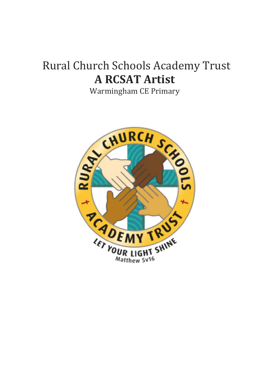# Rural Church Schools Academy Trust **A RCSAT Artist**

Warmingham CE Primary

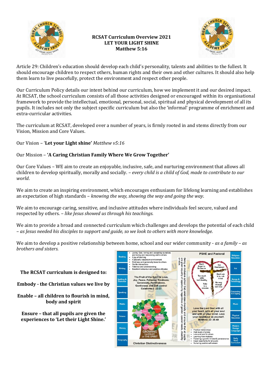

## **RCSAT Curriculum Overview 2021 LET YOUR LIGHT SHINE Matthew 5:16**



Article 29: Children's education should develop each child's personality, talents and abilities to the fullest. It should encourage children to respect others, human rights and their own and other cultures. It should also help them learn to live peacefully, protect the environment and respect other people.

Our Curriculum Policy details our intent behind our curriculum, how we implement it and our desired impact. At RCSAT, the school curriculum consists of all those activities designed or encouraged within its organisational framework to provide the intellectual, emotional, personal, social, spiritual and physical development of all its pupils. It includes not only the subject specific curriculum but also the 'informal' programme of enrichment and extra-curricular activities.

The curriculum at RCSAT, developed over a number of years, is firmly rooted in and stems directly from our Vision, Mission and Core Values.

Our Vision – '**Let your Light shine'** *Matthew v5:16*

# Our Mission – **'A Caring Christian Family Where We Grow Together'**

Our Core Values – WE aim to create an enjoyable, inclusive, safe, and nurturing environment that allows all children to develop spiritually, morally and socially. – *every child is a child of God, made to contribute to our world*.

We aim to create an inspiring environment, which encourages enthusiasm for lifelong learning and establishes an expectation of high standards – *knowing the way, showing the way and going the way*.

We aim to encourage caring, sensitive, and inclusive attitudes where individuals feel secure, valued and respected by others. – *like Jesus showed us through his teachings.*

We aim to provide a broad and connected curriculum which challenges and develops the potential of each child – *as Jesus needed his disciples to support and guide, so we look to others with more knowledge.*

We aim to develop a positive relationship between home, school and our wider community - *as a family – as brothers and sisters.*

**The RCSAT curriculum is designed to:**

**Embody - the Christian values we live by**

**Enable – all children to flourish in mind, body and spirit**

**Ensure – that all pupils are given the experiences to 'Let their Light Shine.'**

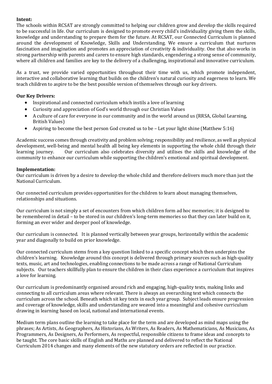#### **Intent:**

The schools within RCSAT are strongly committed to helping our children grow and develop the skills required to be successful in life. Our curriculum is designed to promote every child's individuality giving them the skills, knowledge and understanding to prepare them for the future. At RCSAT, our Connected Curriculum is planned around the development of Knowledge, Skills and Understanding. We ensure a curriculum that nurtures fascination and imagination and promotes an appreciation of creativity & individuality. One that also works in strong partnership with parents and carers to ensure high standards, engendering a strong sense of community, where all children and families are key to the delivery of a challenging, inspirational and innovative curriculum.

As a trust, we provide varied opportunities throughout their time with us, which promote independent, interactive and collaborative learning that builds on the children's natural curiosity and eagerness to learn. We teach children to aspire to be the best possible version of themselves through our key drivers.

## **Our Key Drivers:**

- Inspirational and connected curriculum which instils a love of learning
- Curiosity and appreciation of God's world through our Christian Values
- A culture of care for everyone in our community and in the world around us (RRSA, Global Learning, British Values)
- Aspiring to become the best person God created us to be Let your light shine (Matthew 5:16)

Academic success comes through creativity and problem solving; responsibility and resilience, as well as physical development, well-being and mental health all being key elements in supporting the whole child through their learning journey. Our curriculum also celebrates diversity and utilises the skills and knowledge of the community to enhance our curriculum while supporting the children's emotional and spiritual development.

#### **Implementation:**

Our curriculum is driven by a desire to develop the whole child and therefore delivers much more than just the National Curriculum.

Our connected curriculum provides opportunities for the children to learn about managing themselves, relationships and situations.

Our curriculum is not simply a set of encounters from which children form ad hoc memories; it is designed to be remembered in detail – to be stored in our children's long-term memories so that they can later build on it, forming an ever wider and deeper pool of knowledge.

Our curriculum is connected. It is planned vertically between year groups, horizontally within the academic year and diagonally to build on prior knowledge.

Our connected curriculum stems from a key question linked to a specific concept which then underpins the children's learning. Knowledge around this concept is delivered through primary sources such as high-quality texts, music, art and technologies, enabling connections to be made across a range of National Curriculum subjects. Our teachers skillfully plan to ensure the children in their class experience a curriculum that inspires a love for learning.

Our curriculum is predominantly organised around rich and engaging, high-quality texts, making links and connecting to all curriculum areas where relevant. There is always an overarching text which connects the curriculum across the school. Beneath which sit key texts in each year group. Subject leads ensure progression and coverage of knowledge, skills and understanding are weaved into a meaningful and cohesive curriculum drawing in learning based on local, national and international events.

Medium term plans outline the learning to take place for the term and are developed as mind maps using the phrases; As Artists, As Geographers, As Historians, As Writers, As Readers, As Mathematicians, As Musicians, As Programmers, As Designers, As Performers, As respectful, responsible citizens to frame ideas and concepts to be taught. The core basic skills of English and Maths are planned and delivered to reflect the National Curriculum 2014 changes and many elements of the new statutory orders are reflected in our practice.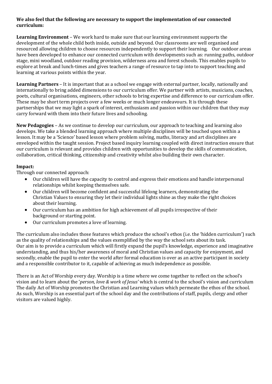#### **We also feel that the following are necessary to support the implementation of our connected curriculum:**

**Learning Environment** – We work hard to make sure that our learning environment supports the development of the whole child both inside, outside and beyond. Our classrooms are well organised and resourced allowing children to choose resources independently to support their learning. Our outdoor areas have been developed to enhance our connected curriculum with developments such as: running paths, outdoor stage, mini woodland, outdoor reading provision, wilderness area and forest schools. This enables pupils to explore at break and lunch-times and gives teachers a range of resource to tap into to support teaching and learning at various points within the year.

**Learning Partners** – It is important that as a school we engage with external partner, locally, nationally and internationally to bring added dimensions to our curriculum offer. We partner with artists, musicians, coaches, poets, cultural organisations, engineers, other schools to bring expertise and difference to our curriculum offer. These may be short term projects over a few weeks or much longer endeavours. It is through these partnerships that we may light a spark of interest, enthusiasm and passion within our children that they may carry forward with them into their future lives and schooling.

**New Pedagogies** – As we continue to develop our curriculum, our approach to teaching and learning also develops. We take a blended learning approach where multiple disciplines will be touched upon within a lesson. It may be a 'Science' based lesson where problem solving, maths, literacy and art disciplines are enveloped within the taught session. Project based inquiry learning coupled with direct instruction ensure that our curriculum is relevant and provides children with opportunities to develop the skills of communication, collaboration, critical thinking, citizenship and creativity whilst also building their own character.

## **Impact:**

Through our connected approach:

- Our children will have the capacity to control and express their emotions and handle interpersonal relationships whilst keeping themselves safe.
- Our children will become confident and successful lifelong learners, demonstrating the Christian Values to ensuring they let their individual lights shine as they make the right choices about their learning.
- Our curriculum has an ambition for high achievement of all pupils irrespective of their background or starting point.
- Our curriculum promotes a love of learning.

The curriculum also includes those features which produce the school's ethos (i.e. the 'hidden curriculum') such as the quality of relationships and the values exemplified by the way the school sets about its task. Our aim is to provide a curriculum which will firstly expand the pupil's knowledge, experience and imaginative understanding, and thus his/her awareness of moral and Christian values and capacity for enjoyment, and secondly, enable the pupil to enter the world after formal education is over as an active participant in society and a responsible contributor to it, capable of achieving as much independence as possible.

There is an Act of Worship every day. Worship is a time where we come together to reflect on the school's vision and to learn about the '*person, love & work of Jesus'* which is central to the school's vision and curriculum The daily Act of Worship promotes the Christian and Learning values which permeate the ethos of the school. As such, Worship is an essential part of the school day and the contributions of staff, pupils, clergy and other visitors are valued highly.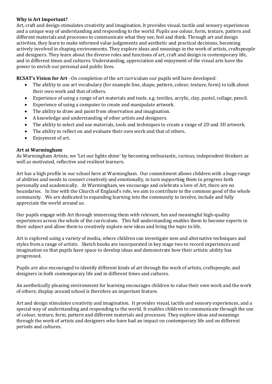#### **Why is Art Important?**

Art, craft and design stimulates creativity and imagination. It provides visual, tactile and sensory experiences and a unique way of understanding and responding to the world. Pupils use colour, form, texture, pattern and different materials and processes to communicate what they see, feel and think. Through art and design activities, they learn to make informed value judgements and aesthetic and practical decisions, becoming actively involved in shaping environments. They explore ideas and meanings in the work of artists, craftspeople and designers. They learn about the diverse roles and functions of art, craft and design in contemporary life, and in different times and cultures. Understanding, appreciation and enjoyment of the visual arts have the power to enrich our personal and public lives.

**RCSAT's Vision for Art** - On completion of the art curriculum our pupils will have developed:

- The ability to use art vocabulary (for example line, shape, pattern, colour, texture, form) to talk about their own work and that of others.
- Experience of using a range of art materials and tools, e.g. textiles, acrylic, clay, pastel, collage, pencil.
- Experience of using a computer to create and manipulate artwork.
- The ability to draw and paint from observation and imagination.
- A knowledge and understanding of other artists and designers.
- The ability to select and use materials, tools and techniques to create a range of 2D and 3D artwork.
- The ability to reflect on and evaluate their own work and that of others.
- Enjoyment of art.

#### **Art at Warmingham**

As Warmingham Artists, we 'Let our lights shine' by becoming enthusiastic, curious, independent thinkers as well as motivated, reflective and resilient learners.

Art has a high profile in our school here at Warmingham. Our commitment allows children with a huge range of abilities and needs to connect creatively and emotionally, in turn supporting them to progress both personally and academically. At Warmingham, we encourage and celebrate a love of Art, there are no boundaries. In line with the Church of England's role, we aim to contribute to the common good of the whole community. We are dedicated to expanding learning into the community to involve, include and fully appreciate the world around us.

Our pupils engage with Art through immersing them with relevant, fun and meaningful high-quality experiences across the whole of the curriculum. This full understanding enables them to become experts in their subject and allow them to creatively explore new ideas and bring the topic to life.

Art is explored using a variety of media, where children can investigate new and alternative techniques and styles from a range of artists. Sketch books are incorporated in key stage two to record experiences and imagination so that pupils have space to develop ideas and demonstrate how their artistic ability has progressed.

Pupils are also encouraged to identify different kinds of art through the work of artists, craftspeople, and designers in both contemporary life and in different times and cultures.

An aesthetically pleasing environment for learning encourages children to value their own work and the work of others; display around school is therefore an important feature.

Art and design stimulates creativity and imagination. It provides visual, tactile and sensory experiences, and a special way of understanding and responding to the world. It enables children to communicate through the use of colour, texture, form, pattern and different materials and processes. They explore ideas and meanings through the work of artists and designers who have had an impact on contemporary life and on different periods and cultures.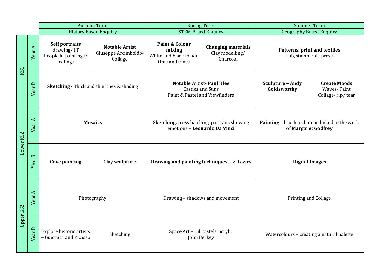|           |        | <b>Autumn Term</b>                                               |                                                          | <b>Spring Term</b>                                                                           |                                                          | <b>Summer Term</b>                                                   |                                                        |
|-----------|--------|------------------------------------------------------------------|----------------------------------------------------------|----------------------------------------------------------------------------------------------|----------------------------------------------------------|----------------------------------------------------------------------|--------------------------------------------------------|
|           |        | <b>History Based Enquiry</b>                                     |                                                          | <b>STEM Based Enquiry</b>                                                                    |                                                          | <b>Geography Based Enquiry</b>                                       |                                                        |
| KS1       | Year A | Self portraits<br>drawing/IT<br>People in paintings/<br>feelings | <b>Notable Artist</b><br>Giuseppe Arcimboldo-<br>Collage | Paint & Colour<br>mixing<br>White and black to add<br>tints and tones                        | <b>Changing materials</b><br>Clay modelling/<br>Charcoal | Patterns, print and textiles<br>rub, stamp, roll, press              |                                                        |
|           | Year B | <b>Sketching - Thick and thin lines &amp; shading</b>            |                                                          | <b>Notable Artist-Paul Klee</b><br><b>Castles and Suns</b><br>Paint & Pastel and Viewfinders |                                                          | <b>Sculpture - Andy</b><br>Goldsworthy                               | <b>Create Moods</b><br>Waves-Paint<br>Collage-rip/tear |
| Lower KS2 | Year A | <b>Mosaics</b>                                                   |                                                          | <b>Sketching, cross hatching, portraits showing</b><br>emotions - Leonardo Da Vinci          |                                                          | Painting - brush technique linked to the work<br>of Margaret Godfrey |                                                        |
|           | Year B | <b>Cave painting</b><br>Clay sculpture                           |                                                          | <b>Drawing and painting techniques - LS Lowry</b>                                            |                                                          | <b>Digital Images</b>                                                |                                                        |
| Upper KS2 | Year A | Photography                                                      |                                                          | Drawing - shadows and movement                                                               |                                                          | <b>Printing and Collage</b>                                          |                                                        |
|           | Year B | Explore historic artists<br>- Guernica and Picasso               | Sketching                                                | Space Art - Oil pastels, acrylic<br>John Berkey                                              |                                                          | Watercolours - creating a natural palette                            |                                                        |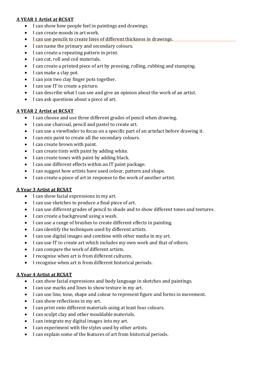#### **A YEAR 1 Artist at RCSAT**

- I can show how people feel in paintings and drawings.
- I can create moods in art work.
- I can use pencils to create lines of different thickness in drawings.
- I can name the primary and secondary colours.
- I can create a repeating pattern in print.
- I can cut, roll and coil materials.
- I can create a printed piece of art by pressing, rolling, rubbing and stamping.
- I can make a clay pot.
- I can join two clay finger pots together.
- I can use IT to create a picture.
- I can describe what I can see and give an opinion about the work of an artist.
- I can ask questions about a piece of art.

## **A YEAR 2 Artist at RCSAT**

- I can choose and use three different grades of pencil when drawing.
- I can use charcoal, pencil and pastel to create art.
- I can use a viewfinder to focus on a specific part of an artefact before drawing it.
- I can mix paint to create all the secondary colours.
- I can create brown with paint.
- I can create tints with paint by adding white.
- I can create tones with paint by adding black.
- I can use different effects within an IT paint package.
- I can suggest how artists have used colour, pattern and shape.
- I can create a piece of art in response to the work of another artist.

# **A Year 3 Artist at RCSAT**

- I can show facial expressions in my art.
- I can use sketches to produce a final piece of art.
- I can use different grades of pencil to shade and to show different tones and textures.
- I can create a background using a wash.
- I can use a range of brushes to create different effects in painting.
- I can identify the techniques used by different artists.
- I can use digital images and combine with other media in my art.
- I can use IT to create art which includes my own work and that of others.
- I can compare the work of different artists.
- I recognise when art is from different cultures.
- I recognise when art is from different historical periods.

# **A Year 4 Artist at RCSAT**

- I can show facial expressions and body language in sketches and paintings.
- I can use marks and lines to show texture in my art.
- I can use line, tone, shape and colour to represent figure and forms in movement.
- I can show reflections in my art.
- I can print onto different materials using at least four colours.
- I can sculpt clay and other mouldable materials.
- I can integrate my digital images into my art.
- I can experiment with the styles used by other artists.
- I can explain some of the features of art from historical periods.